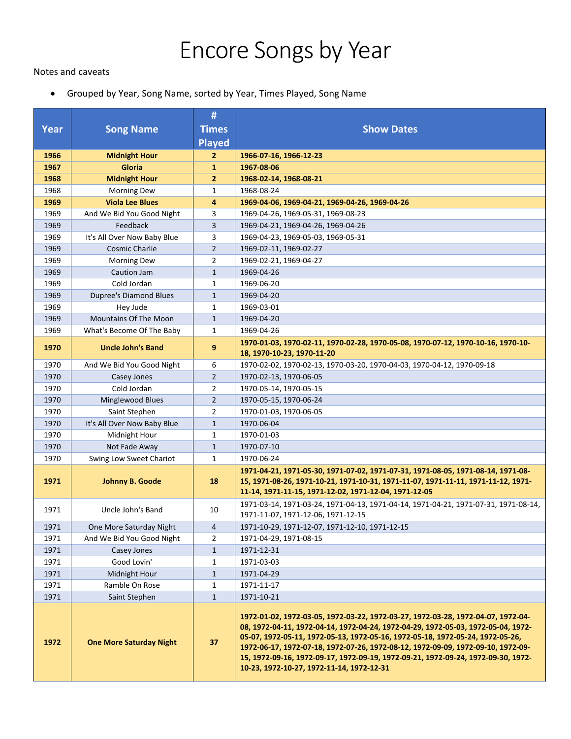## Encore Songs by Year

## Notes and caveats

• Grouped by Year, Song Name, sorted by Year, Times Played, Song Name

|             |                                | #              |                                                                                                                                                                                                                                                                                                                                                                                                                                                                               |
|-------------|--------------------------------|----------------|-------------------------------------------------------------------------------------------------------------------------------------------------------------------------------------------------------------------------------------------------------------------------------------------------------------------------------------------------------------------------------------------------------------------------------------------------------------------------------|
| <b>Year</b> | <b>Song Name</b>               | <b>Times</b>   | <b>Show Dates</b>                                                                                                                                                                                                                                                                                                                                                                                                                                                             |
|             |                                | <b>Played</b>  |                                                                                                                                                                                                                                                                                                                                                                                                                                                                               |
| 1966        | <b>Midnight Hour</b>           | 2              | 1966-07-16, 1966-12-23                                                                                                                                                                                                                                                                                                                                                                                                                                                        |
| 1967        | Gloria                         | $\mathbf{1}$   | 1967-08-06                                                                                                                                                                                                                                                                                                                                                                                                                                                                    |
| 1968        | <b>Midnight Hour</b>           | $\overline{2}$ | 1968-02-14, 1968-08-21                                                                                                                                                                                                                                                                                                                                                                                                                                                        |
| 1968        | <b>Morning Dew</b>             | 1              | 1968-08-24                                                                                                                                                                                                                                                                                                                                                                                                                                                                    |
| 1969        | <b>Viola Lee Blues</b>         | 4              | 1969-04-06, 1969-04-21, 1969-04-26, 1969-04-26                                                                                                                                                                                                                                                                                                                                                                                                                                |
| 1969        | And We Bid You Good Night      | 3              | 1969-04-26, 1969-05-31, 1969-08-23                                                                                                                                                                                                                                                                                                                                                                                                                                            |
| 1969        | Feedback                       | 3              | 1969-04-21, 1969-04-26, 1969-04-26                                                                                                                                                                                                                                                                                                                                                                                                                                            |
| 1969        | It's All Over Now Baby Blue    | 3              | 1969-04-23, 1969-05-03, 1969-05-31                                                                                                                                                                                                                                                                                                                                                                                                                                            |
| 1969        | Cosmic Charlie                 | $\overline{2}$ | 1969-02-11, 1969-02-27                                                                                                                                                                                                                                                                                                                                                                                                                                                        |
| 1969        | <b>Morning Dew</b>             | $\overline{2}$ | 1969-02-21, 1969-04-27                                                                                                                                                                                                                                                                                                                                                                                                                                                        |
| 1969        | Caution Jam                    | $\mathbf{1}$   | 1969-04-26                                                                                                                                                                                                                                                                                                                                                                                                                                                                    |
| 1969        | Cold Jordan                    | $\mathbf{1}$   | 1969-06-20                                                                                                                                                                                                                                                                                                                                                                                                                                                                    |
| 1969        | <b>Dupree's Diamond Blues</b>  | $\mathbf{1}$   | 1969-04-20                                                                                                                                                                                                                                                                                                                                                                                                                                                                    |
| 1969        | Hey Jude                       | 1              | 1969-03-01                                                                                                                                                                                                                                                                                                                                                                                                                                                                    |
| 1969        | Mountains Of The Moon          | $\mathbf{1}$   | 1969-04-20                                                                                                                                                                                                                                                                                                                                                                                                                                                                    |
| 1969        | What's Become Of The Baby      | $\mathbf{1}$   | 1969-04-26                                                                                                                                                                                                                                                                                                                                                                                                                                                                    |
| 1970        | <b>Uncle John's Band</b>       | 9              | 1970-01-03, 1970-02-11, 1970-02-28, 1970-05-08, 1970-07-12, 1970-10-16, 1970-10-                                                                                                                                                                                                                                                                                                                                                                                              |
|             |                                |                | 18, 1970-10-23, 1970-11-20                                                                                                                                                                                                                                                                                                                                                                                                                                                    |
| 1970        | And We Bid You Good Night      | 6              | 1970-02-02, 1970-02-13, 1970-03-20, 1970-04-03, 1970-04-12, 1970-09-18                                                                                                                                                                                                                                                                                                                                                                                                        |
| 1970        | <b>Casey Jones</b>             | $\overline{2}$ | 1970-02-13, 1970-06-05                                                                                                                                                                                                                                                                                                                                                                                                                                                        |
| 1970        | Cold Jordan                    | 2              | 1970-05-14, 1970-05-15                                                                                                                                                                                                                                                                                                                                                                                                                                                        |
| 1970        | Minglewood Blues               | $\overline{2}$ | 1970-05-15, 1970-06-24                                                                                                                                                                                                                                                                                                                                                                                                                                                        |
| 1970        | Saint Stephen                  | $\overline{2}$ | 1970-01-03, 1970-06-05                                                                                                                                                                                                                                                                                                                                                                                                                                                        |
| 1970        | It's All Over Now Baby Blue    | $\mathbf{1}$   | 1970-06-04                                                                                                                                                                                                                                                                                                                                                                                                                                                                    |
| 1970        | Midnight Hour                  | 1              | 1970-01-03                                                                                                                                                                                                                                                                                                                                                                                                                                                                    |
| 1970        | Not Fade Away                  | $\mathbf{1}$   | 1970-07-10                                                                                                                                                                                                                                                                                                                                                                                                                                                                    |
| 1970        | Swing Low Sweet Chariot        | 1              | 1970-06-24                                                                                                                                                                                                                                                                                                                                                                                                                                                                    |
| 1971        | Johnny B. Goode                | 18             | 1971-04-21, 1971-05-30, 1971-07-02, 1971-07-31, 1971-08-05, 1971-08-14, 1971-08-<br>15, 1971-08-26, 1971-10-21, 1971-10-31, 1971-11-07, 1971-11-11, 1971-11-12, 1971-<br>11-14, 1971-11-15, 1971-12-02, 1971-12-04, 1971-12-05                                                                                                                                                                                                                                                |
| 1971        | Uncle John's Band              | 10             | 1971-03-14, 1971-03-24, 1971-04-13, 1971-04-14, 1971-04-21, 1971-07-31, 1971-08-14,<br>1971-11-07, 1971-12-06, 1971-12-15                                                                                                                                                                                                                                                                                                                                                     |
| 1971        | One More Saturday Night        | 4              | 1971-10-29, 1971-12-07, 1971-12-10, 1971-12-15                                                                                                                                                                                                                                                                                                                                                                                                                                |
| 1971        | And We Bid You Good Night      | 2              | 1971-04-29, 1971-08-15                                                                                                                                                                                                                                                                                                                                                                                                                                                        |
| 1971        | Casey Jones                    | $\mathbf{1}$   | 1971-12-31                                                                                                                                                                                                                                                                                                                                                                                                                                                                    |
| 1971        | Good Lovin'                    | 1              | 1971-03-03                                                                                                                                                                                                                                                                                                                                                                                                                                                                    |
| 1971        | Midnight Hour                  | $\mathbf{1}$   | 1971-04-29                                                                                                                                                                                                                                                                                                                                                                                                                                                                    |
| 1971        | Ramble On Rose                 | 1              | 1971-11-17                                                                                                                                                                                                                                                                                                                                                                                                                                                                    |
| 1971        | Saint Stephen                  | $\mathbf{1}$   | 1971-10-21                                                                                                                                                                                                                                                                                                                                                                                                                                                                    |
| 1972        | <b>One More Saturday Night</b> | 37             | 1972-01-02, 1972-03-05, 1972-03-22, 1972-03-27, 1972-03-28, 1972-04-07, 1972-04-<br>08, 1972-04-11, 1972-04-14, 1972-04-24, 1972-04-29, 1972-05-03, 1972-05-04, 1972-<br>05-07, 1972-05-11, 1972-05-13, 1972-05-16, 1972-05-18, 1972-05-24, 1972-05-26,<br>1972-06-17, 1972-07-18, 1972-07-26, 1972-08-12, 1972-09-09, 1972-09-10, 1972-09-<br>15, 1972-09-16, 1972-09-17, 1972-09-19, 1972-09-21, 1972-09-24, 1972-09-30, 1972-<br>10-23, 1972-10-27, 1972-11-14, 1972-12-31 |
|             |                                |                |                                                                                                                                                                                                                                                                                                                                                                                                                                                                               |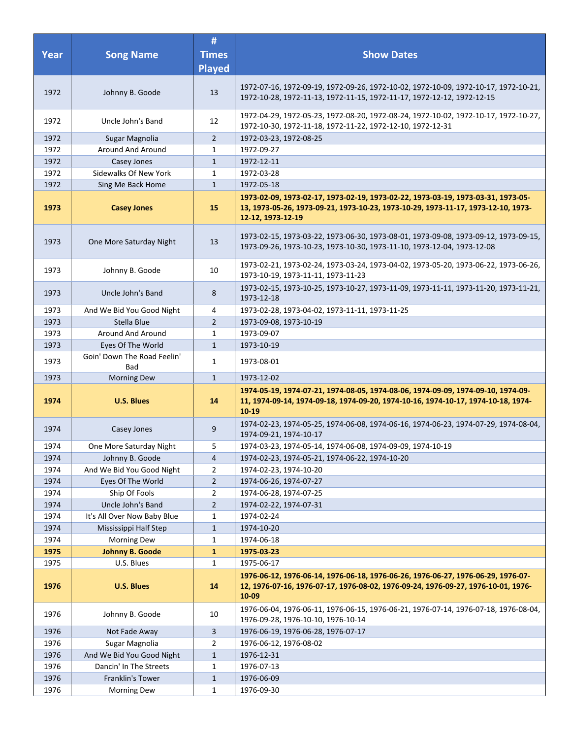| <b>Year</b>  | <b>Song Name</b>                            | #<br><b>Times</b><br><b>Played</b> | <b>Show Dates</b>                                                                                                                                                                          |
|--------------|---------------------------------------------|------------------------------------|--------------------------------------------------------------------------------------------------------------------------------------------------------------------------------------------|
| 1972         | Johnny B. Goode                             | 13                                 | 1972-07-16, 1972-09-19, 1972-09-26, 1972-10-02, 1972-10-09, 1972-10-17, 1972-10-21,<br>1972-10-28, 1972-11-13, 1972-11-15, 1972-11-17, 1972-12-12, 1972-12-15                              |
| 1972         | Uncle John's Band                           | 12                                 | 1972-04-29, 1972-05-23, 1972-08-20, 1972-08-24, 1972-10-02, 1972-10-17, 1972-10-27,<br>1972-10-30, 1972-11-18, 1972-11-22, 1972-12-10, 1972-12-31                                          |
| 1972         | Sugar Magnolia                              | $\overline{2}$                     | 1972-03-23, 1972-08-25                                                                                                                                                                     |
| 1972         | Around And Around                           | $\mathbf{1}$                       | 1972-09-27                                                                                                                                                                                 |
| 1972         | Casey Jones                                 | $\mathbf{1}$                       | 1972-12-11                                                                                                                                                                                 |
| 1972         | Sidewalks Of New York                       | $\mathbf{1}$                       | 1972-03-28                                                                                                                                                                                 |
| 1972         | Sing Me Back Home                           | $\mathbf{1}$                       | 1972-05-18                                                                                                                                                                                 |
| 1973         | <b>Casey Jones</b>                          | 15                                 | 1973-02-09, 1973-02-17, 1973-02-19, 1973-02-22, 1973-03-19, 1973-03-31, 1973-05-<br>13, 1973-05-26, 1973-09-21, 1973-10-23, 1973-10-29, 1973-11-17, 1973-12-10, 1973-<br>12-12, 1973-12-19 |
| 1973         | One More Saturday Night                     | 13                                 | 1973-02-15, 1973-03-22, 1973-06-30, 1973-08-01, 1973-09-08, 1973-09-12, 1973-09-15,<br>1973-09-26, 1973-10-23, 1973-10-30, 1973-11-10, 1973-12-04, 1973-12-08                              |
| 1973         | Johnny B. Goode                             | 10                                 | 1973-02-21, 1973-02-24, 1973-03-24, 1973-04-02, 1973-05-20, 1973-06-22, 1973-06-26,<br>1973-10-19, 1973-11-11, 1973-11-23                                                                  |
| 1973         | Uncle John's Band                           | 8                                  | 1973-02-15, 1973-10-25, 1973-10-27, 1973-11-09, 1973-11-11, 1973-11-20, 1973-11-21,<br>1973-12-18                                                                                          |
| 1973         | And We Bid You Good Night                   | 4                                  | 1973-02-28, 1973-04-02, 1973-11-11, 1973-11-25                                                                                                                                             |
| 1973         | Stella Blue                                 | $\overline{2}$                     | 1973-09-08, 1973-10-19                                                                                                                                                                     |
| 1973         | Around And Around                           | 1                                  | 1973-09-07                                                                                                                                                                                 |
| 1973         | Eyes Of The World                           | $\mathbf{1}$                       | 1973-10-19                                                                                                                                                                                 |
| 1973         | Goin' Down The Road Feelin'<br>Bad          | 1                                  | 1973-08-01                                                                                                                                                                                 |
| 1973         | <b>Morning Dew</b>                          | $\mathbf{1}$                       | 1973-12-02                                                                                                                                                                                 |
| 1974         | <b>U.S. Blues</b>                           | 14                                 | 1974-05-19, 1974-07-21, 1974-08-05, 1974-08-06, 1974-09-09, 1974-09-10, 1974-09-<br>11, 1974-09-14, 1974-09-18, 1974-09-20, 1974-10-16, 1974-10-17, 1974-10-18, 1974-<br>$10 - 19$         |
| 1974         | Casey Jones                                 | 9                                  | 1974-02-23, 1974-05-25, 1974-06-08, 1974-06-16, 1974-06-23, 1974-07-29, 1974-08-04,<br>1974-09-21, 1974-10-17                                                                              |
| 1974         | One More Saturday Night                     | 5                                  | 1974-03-23, 1974-05-14, 1974-06-08, 1974-09-09, 1974-10-19                                                                                                                                 |
| 1974         | Johnny B. Goode                             | 4                                  | 1974-02-23, 1974-05-21, 1974-06-22, 1974-10-20                                                                                                                                             |
| 1974         | And We Bid You Good Night                   | $\overline{2}$                     | 1974-02-23, 1974-10-20                                                                                                                                                                     |
| 1974         | Eyes Of The World                           | $\overline{2}$                     | 1974-06-26, 1974-07-27                                                                                                                                                                     |
| 1974         | Ship Of Fools                               | $\overline{2}$                     | 1974-06-28, 1974-07-25                                                                                                                                                                     |
| 1974         | Uncle John's Band                           | $\overline{2}$                     | 1974-02-22, 1974-07-31                                                                                                                                                                     |
| 1974         | It's All Over Now Baby Blue                 | 1                                  | 1974-02-24                                                                                                                                                                                 |
| 1974<br>1974 | Mississippi Half Step<br><b>Morning Dew</b> | $\mathbf{1}$                       | 1974-10-20<br>1974-06-18                                                                                                                                                                   |
| 1975         | Johnny B. Goode                             | 1<br>$\mathbf{1}$                  | 1975-03-23                                                                                                                                                                                 |
| 1975         | U.S. Blues                                  | $\mathbf{1}$                       | 1975-06-17                                                                                                                                                                                 |
| 1976         | <b>U.S. Blues</b>                           | 14                                 | 1976-06-12, 1976-06-14, 1976-06-18, 1976-06-26, 1976-06-27, 1976-06-29, 1976-07-<br>12, 1976-07-16, 1976-07-17, 1976-08-02, 1976-09-24, 1976-09-27, 1976-10-01, 1976-<br>10-09             |
| 1976         | Johnny B. Goode                             | 10                                 | 1976-06-04, 1976-06-11, 1976-06-15, 1976-06-21, 1976-07-14, 1976-07-18, 1976-08-04,<br>1976-09-28, 1976-10-10, 1976-10-14                                                                  |
| 1976         | Not Fade Away                               | 3                                  | 1976-06-19, 1976-06-28, 1976-07-17                                                                                                                                                         |
| 1976         | Sugar Magnolia                              | $\overline{2}$                     | 1976-06-12, 1976-08-02                                                                                                                                                                     |
| 1976         | And We Bid You Good Night                   | $\mathbf{1}$                       | 1976-12-31                                                                                                                                                                                 |
| 1976         | Dancin' In The Streets                      | 1                                  | 1976-07-13                                                                                                                                                                                 |
| 1976         | Franklin's Tower                            | $1\,$                              | 1976-06-09                                                                                                                                                                                 |
| 1976         | <b>Morning Dew</b>                          | $\mathbf{1}$                       | 1976-09-30                                                                                                                                                                                 |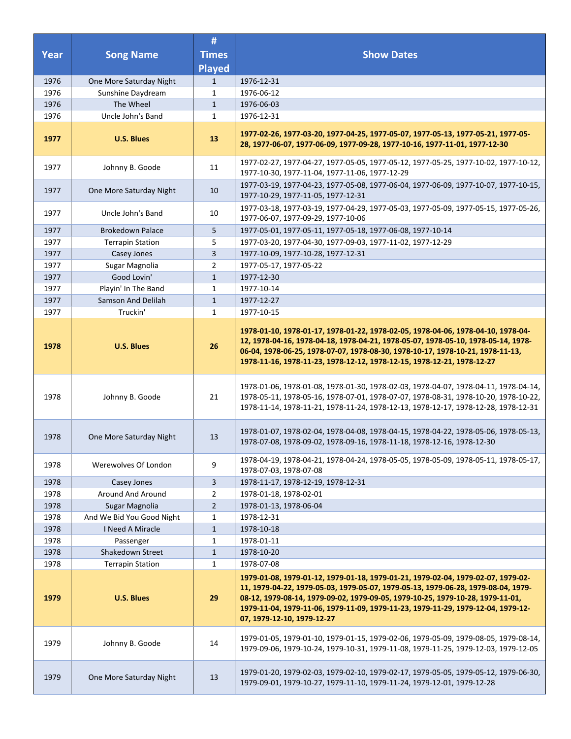|              |                                              | #                 |                                                                                                                                                                                                                                                                                                                                                                           |
|--------------|----------------------------------------------|-------------------|---------------------------------------------------------------------------------------------------------------------------------------------------------------------------------------------------------------------------------------------------------------------------------------------------------------------------------------------------------------------------|
| <b>Year</b>  | <b>Song Name</b>                             | <b>Times</b>      | <b>Show Dates</b>                                                                                                                                                                                                                                                                                                                                                         |
|              |                                              | <b>Played</b>     |                                                                                                                                                                                                                                                                                                                                                                           |
| 1976<br>1976 | One More Saturday Night<br>Sunshine Daydream | $\mathbf{1}$<br>1 | 1976-12-31<br>1976-06-12                                                                                                                                                                                                                                                                                                                                                  |
| 1976         | The Wheel                                    | $\mathbf{1}$      | 1976-06-03                                                                                                                                                                                                                                                                                                                                                                |
| 1976         | Uncle John's Band                            | 1                 | 1976-12-31                                                                                                                                                                                                                                                                                                                                                                |
|              |                                              |                   |                                                                                                                                                                                                                                                                                                                                                                           |
| 1977         | <b>U.S. Blues</b>                            | 13                | 1977-02-26, 1977-03-20, 1977-04-25, 1977-05-07, 1977-05-13, 1977-05-21, 1977-05-<br>28, 1977-06-07, 1977-06-09, 1977-09-28, 1977-10-16, 1977-11-01, 1977-12-30                                                                                                                                                                                                            |
| 1977         | Johnny B. Goode                              | 11                | 1977-02-27, 1977-04-27, 1977-05-05, 1977-05-12, 1977-05-25, 1977-10-02, 1977-10-12,<br>1977-10-30, 1977-11-04, 1977-11-06, 1977-12-29                                                                                                                                                                                                                                     |
| 1977         | One More Saturday Night                      | 10                | 1977-03-19, 1977-04-23, 1977-05-08, 1977-06-04, 1977-06-09, 1977-10-07, 1977-10-15,<br>1977-10-29, 1977-11-05, 1977-12-31                                                                                                                                                                                                                                                 |
| 1977         | Uncle John's Band                            | 10                | 1977-03-18, 1977-03-19, 1977-04-29, 1977-05-03, 1977-05-09, 1977-05-15, 1977-05-26,<br>1977-06-07, 1977-09-29, 1977-10-06                                                                                                                                                                                                                                                 |
| 1977         | <b>Brokedown Palace</b>                      | 5                 | 1977-05-01, 1977-05-11, 1977-05-18, 1977-06-08, 1977-10-14                                                                                                                                                                                                                                                                                                                |
| 1977         | <b>Terrapin Station</b>                      | 5                 | 1977-03-20, 1977-04-30, 1977-09-03, 1977-11-02, 1977-12-29                                                                                                                                                                                                                                                                                                                |
| 1977         | Casey Jones                                  | 3                 | 1977-10-09, 1977-10-28, 1977-12-31                                                                                                                                                                                                                                                                                                                                        |
| 1977         | Sugar Magnolia                               | $\overline{2}$    | 1977-05-17, 1977-05-22                                                                                                                                                                                                                                                                                                                                                    |
| 1977         | Good Lovin'                                  | $\mathbf{1}$      | 1977-12-30                                                                                                                                                                                                                                                                                                                                                                |
| 1977         | Playin' In The Band                          | 1                 | 1977-10-14                                                                                                                                                                                                                                                                                                                                                                |
| 1977         | Samson And Delilah                           | $\mathbf{1}$      | 1977-12-27                                                                                                                                                                                                                                                                                                                                                                |
| 1977         | Truckin'                                     | 1                 | 1977-10-15                                                                                                                                                                                                                                                                                                                                                                |
| 1978         | <b>U.S. Blues</b>                            | 26                | 1978-01-10, 1978-01-17, 1978-01-22, 1978-02-05, 1978-04-06, 1978-04-10, 1978-04-<br>12, 1978-04-16, 1978-04-18, 1978-04-21, 1978-05-07, 1978-05-10, 1978-05-14, 1978-<br>06-04, 1978-06-25, 1978-07-07, 1978-08-30, 1978-10-17, 1978-10-21, 1978-11-13,<br>1978-11-16, 1978-11-23, 1978-12-12, 1978-12-15, 1978-12-21, 1978-12-27                                         |
| 1978         | Johnny B. Goode                              | 21                | 1978-01-06, 1978-01-08, 1978-01-30, 1978-02-03, 1978-04-07, 1978-04-11, 1978-04-14,<br>1978-05-11, 1978-05-16, 1978-07-01, 1978-07-07, 1978-08-31, 1978-10-20, 1978-10-22,<br>1978-11-14, 1978-11-21, 1978-11-24, 1978-12-13, 1978-12-17, 1978-12-28, 1978-12-31                                                                                                          |
| 1978         | One More Saturday Night                      | 13                | 1978-01-07, 1978-02-04, 1978-04-08, 1978-04-15, 1978-04-22, 1978-05-06, 1978-05-13,<br>1978-07-08, 1978-09-02, 1978-09-16, 1978-11-18, 1978-12-16, 1978-12-30                                                                                                                                                                                                             |
| 1978         | Werewolves Of London                         | 9                 | 1978-04-19, 1978-04-21, 1978-04-24, 1978-05-05, 1978-05-09, 1978-05-11, 1978-05-17,<br>1978-07-03, 1978-07-08                                                                                                                                                                                                                                                             |
| 1978         | Casey Jones                                  | 3                 | 1978-11-17, 1978-12-19, 1978-12-31                                                                                                                                                                                                                                                                                                                                        |
| 1978         | Around And Around                            | 2                 | 1978-01-18, 1978-02-01                                                                                                                                                                                                                                                                                                                                                    |
| 1978         | Sugar Magnolia                               | $\overline{2}$    | 1978-01-13, 1978-06-04                                                                                                                                                                                                                                                                                                                                                    |
| 1978         | And We Bid You Good Night                    | 1                 | 1978-12-31                                                                                                                                                                                                                                                                                                                                                                |
| 1978         | I Need A Miracle                             | $\mathbf{1}$      | 1978-10-18                                                                                                                                                                                                                                                                                                                                                                |
| 1978         | Passenger                                    | $\mathbf{1}$      | 1978-01-11                                                                                                                                                                                                                                                                                                                                                                |
| 1978         | Shakedown Street                             | $\mathbf{1}$      | 1978-10-20                                                                                                                                                                                                                                                                                                                                                                |
| 1978         | <b>Terrapin Station</b>                      | 1                 | 1978-07-08                                                                                                                                                                                                                                                                                                                                                                |
| 1979         | <b>U.S. Blues</b>                            | 29                | 1979-01-08, 1979-01-12, 1979-01-18, 1979-01-21, 1979-02-04, 1979-02-07, 1979-02-<br>11, 1979-04-22, 1979-05-03, 1979-05-07, 1979-05-13, 1979-06-28, 1979-08-04, 1979-<br>08-12, 1979-08-14, 1979-09-02, 1979-09-05, 1979-10-25, 1979-10-28, 1979-11-01,<br>1979-11-04, 1979-11-06, 1979-11-09, 1979-11-23, 1979-11-29, 1979-12-04, 1979-12-<br>07, 1979-12-10, 1979-12-27 |
| 1979         | Johnny B. Goode                              | 14                | 1979-01-05, 1979-01-10, 1979-01-15, 1979-02-06, 1979-05-09, 1979-08-05, 1979-08-14,<br>1979-09-06, 1979-10-24, 1979-10-31, 1979-11-08, 1979-11-25, 1979-12-03, 1979-12-05                                                                                                                                                                                                 |
| 1979         | One More Saturday Night                      | 13                | 1979-01-20, 1979-02-03, 1979-02-10, 1979-02-17, 1979-05-05, 1979-05-12, 1979-06-30,<br>1979-09-01, 1979-10-27, 1979-11-10, 1979-11-24, 1979-12-01, 1979-12-28                                                                                                                                                                                                             |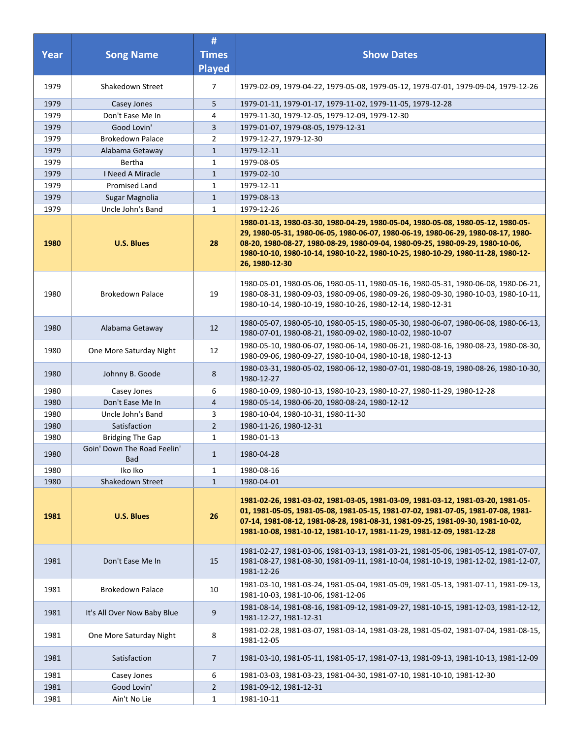| Year         | <b>Song Name</b>                                                     | #<br><b>Times</b><br><b>Played</b> | <b>Show Dates</b>                                                                                                                                                                                                                                                                                                                                             |
|--------------|----------------------------------------------------------------------|------------------------------------|---------------------------------------------------------------------------------------------------------------------------------------------------------------------------------------------------------------------------------------------------------------------------------------------------------------------------------------------------------------|
| 1979         | Shakedown Street                                                     | $\overline{7}$                     | 1979-02-09, 1979-04-22, 1979-05-08, 1979-05-12, 1979-07-01, 1979-09-04, 1979-12-26                                                                                                                                                                                                                                                                            |
| 1979         | Casey Jones                                                          | 5                                  | 1979-01-11, 1979-01-17, 1979-11-02, 1979-11-05, 1979-12-28                                                                                                                                                                                                                                                                                                    |
| 1979         | Don't Ease Me In                                                     | 4                                  | 1979-11-30, 1979-12-05, 1979-12-09, 1979-12-30                                                                                                                                                                                                                                                                                                                |
| 1979         | Good Lovin'                                                          | 3                                  | 1979-01-07, 1979-08-05, 1979-12-31                                                                                                                                                                                                                                                                                                                            |
| 1979         | <b>Brokedown Palace</b>                                              | $\overline{2}$                     | 1979-12-27, 1979-12-30                                                                                                                                                                                                                                                                                                                                        |
| 1979         | Alabama Getaway                                                      | $\mathbf{1}$                       | 1979-12-11                                                                                                                                                                                                                                                                                                                                                    |
| 1979         | Bertha                                                               | 1                                  | 1979-08-05                                                                                                                                                                                                                                                                                                                                                    |
| 1979         | <b>I Need A Miracle</b>                                              | $\mathbf{1}$                       | 1979-02-10                                                                                                                                                                                                                                                                                                                                                    |
| 1979         | Promised Land                                                        | 1                                  | 1979-12-11                                                                                                                                                                                                                                                                                                                                                    |
| 1979         | Sugar Magnolia                                                       | $\mathbf{1}$                       | 1979-08-13                                                                                                                                                                                                                                                                                                                                                    |
| 1979         | Uncle John's Band                                                    | 1                                  | 1979-12-26                                                                                                                                                                                                                                                                                                                                                    |
| 1980         | <b>U.S. Blues</b>                                                    | 28                                 | 1980-01-13, 1980-03-30, 1980-04-29, 1980-05-04, 1980-05-08, 1980-05-12, 1980-05-<br>29, 1980-05-31, 1980-06-05, 1980-06-07, 1980-06-19, 1980-06-29, 1980-08-17, 1980-<br>08-20, 1980-08-27, 1980-08-29, 1980-09-04, 1980-09-25, 1980-09-29, 1980-10-06,<br>1980-10-10, 1980-10-14, 1980-10-22, 1980-10-25, 1980-10-29, 1980-11-28, 1980-12-<br>26, 1980-12-30 |
| 1980         | <b>Brokedown Palace</b>                                              | 19                                 | 1980-05-01, 1980-05-06, 1980-05-11, 1980-05-16, 1980-05-31, 1980-06-08, 1980-06-21,<br>1980-08-31, 1980-09-03, 1980-09-06, 1980-09-26, 1980-09-30, 1980-10-03, 1980-10-11,<br>1980-10-14, 1980-10-19, 1980-10-26, 1980-12-14, 1980-12-31                                                                                                                      |
| 1980         | Alabama Getaway                                                      | 12                                 | 1980-05-07, 1980-05-10, 1980-05-15, 1980-05-30, 1980-06-07, 1980-06-08, 1980-06-13,<br>1980-07-01, 1980-08-21, 1980-09-02, 1980-10-02, 1980-10-07                                                                                                                                                                                                             |
| 1980         | One More Saturday Night                                              | 12                                 | 1980-05-10, 1980-06-07, 1980-06-14, 1980-06-21, 1980-08-16, 1980-08-23, 1980-08-30,<br>1980-09-06, 1980-09-27, 1980-10-04, 1980-10-18, 1980-12-13                                                                                                                                                                                                             |
| 1980         | Johnny B. Goode                                                      | 8                                  | 1980-03-31, 1980-05-02, 1980-06-12, 1980-07-01, 1980-08-19, 1980-08-26, 1980-10-30,<br>1980-12-27                                                                                                                                                                                                                                                             |
| 1980         | Casey Jones                                                          | 6                                  | 1980-10-09, 1980-10-13, 1980-10-23, 1980-10-27, 1980-11-29, 1980-12-28                                                                                                                                                                                                                                                                                        |
| 1980         | Don't Ease Me In                                                     | 4                                  | 1980-05-14, 1980-06-20, 1980-08-24, 1980-12-12                                                                                                                                                                                                                                                                                                                |
| 1980         | Uncle John's Band                                                    | 3                                  | 1980-10-04, 1980-10-31, 1980-11-30                                                                                                                                                                                                                                                                                                                            |
| 1980         | Satisfaction                                                         | $\overline{2}$                     | 1980-11-26, 1980-12-31                                                                                                                                                                                                                                                                                                                                        |
| 1980<br>1980 | <b>Bridging The Gap</b><br>Goin' Down The Road Feelin'<br><b>Bad</b> | 1<br>$\mathbf{1}$                  | 1980-01-13<br>1980-04-28                                                                                                                                                                                                                                                                                                                                      |
| 1980         | Iko Iko                                                              | 1                                  | 1980-08-16                                                                                                                                                                                                                                                                                                                                                    |
| 1980         | Shakedown Street                                                     | $\mathbf{1}$                       | 1980-04-01                                                                                                                                                                                                                                                                                                                                                    |
| 1981         | <b>U.S. Blues</b>                                                    | 26                                 | 1981-02-26, 1981-03-02, 1981-03-05, 1981-03-09, 1981-03-12, 1981-03-20, 1981-05-<br>01, 1981-05-05, 1981-05-08, 1981-05-15, 1981-07-02, 1981-07-05, 1981-07-08, 1981-<br>07-14, 1981-08-12, 1981-08-28, 1981-08-31, 1981-09-25, 1981-09-30, 1981-10-02,<br>1981-10-08, 1981-10-12, 1981-10-17, 1981-11-29, 1981-12-09, 1981-12-28                             |
| 1981         | Don't Ease Me In                                                     | 15                                 | 1981-02-27, 1981-03-06, 1981-03-13, 1981-03-21, 1981-05-06, 1981-05-12, 1981-07-07,<br>1981-08-27, 1981-08-30, 1981-09-11, 1981-10-04, 1981-10-19, 1981-12-02, 1981-12-07,<br>1981-12-26                                                                                                                                                                      |
| 1981         | <b>Brokedown Palace</b>                                              | 10                                 | 1981-03-10, 1981-03-24, 1981-05-04, 1981-05-09, 1981-05-13, 1981-07-11, 1981-09-13,<br>1981-10-03, 1981-10-06, 1981-12-06                                                                                                                                                                                                                                     |
| 1981         | It's All Over Now Baby Blue                                          | 9                                  | 1981-08-14, 1981-08-16, 1981-09-12, 1981-09-27, 1981-10-15, 1981-12-03, 1981-12-12,<br>1981-12-27, 1981-12-31                                                                                                                                                                                                                                                 |
| 1981         | One More Saturday Night                                              | 8                                  | 1981-02-28, 1981-03-07, 1981-03-14, 1981-03-28, 1981-05-02, 1981-07-04, 1981-08-15,<br>1981-12-05                                                                                                                                                                                                                                                             |
| 1981         | Satisfaction                                                         | 7                                  | 1981-03-10, 1981-05-11, 1981-05-17, 1981-07-13, 1981-09-13, 1981-10-13, 1981-12-09                                                                                                                                                                                                                                                                            |
| 1981         | Casey Jones                                                          | 6                                  | 1981-03-03, 1981-03-23, 1981-04-30, 1981-07-10, 1981-10-10, 1981-12-30                                                                                                                                                                                                                                                                                        |
| 1981         | Good Lovin'                                                          | $\overline{2}$                     | 1981-09-12, 1981-12-31                                                                                                                                                                                                                                                                                                                                        |
| 1981         | Ain't No Lie                                                         | $\mathbf{1}$                       | 1981-10-11                                                                                                                                                                                                                                                                                                                                                    |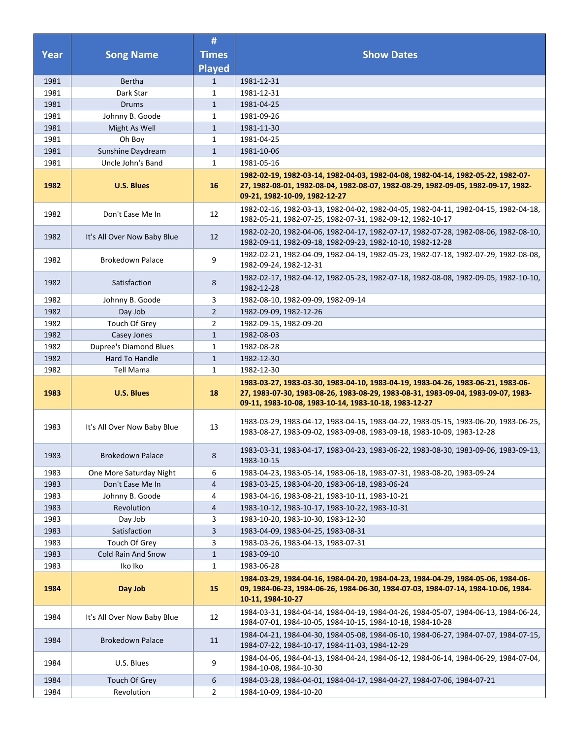|              |                               | #              |                                                                                                                                                                                                                                |
|--------------|-------------------------------|----------------|--------------------------------------------------------------------------------------------------------------------------------------------------------------------------------------------------------------------------------|
| <b>Year</b>  | <b>Song Name</b>              | <b>Times</b>   | <b>Show Dates</b>                                                                                                                                                                                                              |
|              |                               | <b>Played</b>  |                                                                                                                                                                                                                                |
| 1981         | <b>Bertha</b>                 | $\mathbf{1}$   | 1981-12-31                                                                                                                                                                                                                     |
| 1981         | Dark Star                     | $\mathbf{1}$   | 1981-12-31                                                                                                                                                                                                                     |
| 1981         | <b>Drums</b>                  | $\mathbf{1}$   | 1981-04-25                                                                                                                                                                                                                     |
| 1981         | Johnny B. Goode               | $\mathbf{1}$   | 1981-09-26                                                                                                                                                                                                                     |
| 1981         | Might As Well                 | $\mathbf{1}$   | 1981-11-30                                                                                                                                                                                                                     |
| 1981         | Oh Boy                        | $\mathbf{1}$   | 1981-04-25                                                                                                                                                                                                                     |
| 1981         | Sunshine Daydream             | $\mathbf{1}$   | 1981-10-06                                                                                                                                                                                                                     |
| 1981         | Uncle John's Band             | $\mathbf{1}$   | 1981-05-16                                                                                                                                                                                                                     |
| 1982         | <b>U.S. Blues</b>             | 16             | 1982-02-19, 1982-03-14, 1982-04-03, 1982-04-08, 1982-04-14, 1982-05-22, 1982-07-<br>27, 1982-08-01, 1982-08-04, 1982-08-07, 1982-08-29, 1982-09-05, 1982-09-17, 1982-<br>09-21, 1982-10-09, 1982-12-27                         |
| 1982         | Don't Ease Me In              | 12             | 1982-02-16, 1982-03-13, 1982-04-02, 1982-04-05, 1982-04-11, 1982-04-15, 1982-04-18,<br>1982-05-21, 1982-07-25, 1982-07-31, 1982-09-12, 1982-10-17                                                                              |
| 1982         | It's All Over Now Baby Blue   | 12             | 1982-02-20, 1982-04-06, 1982-04-17, 1982-07-17, 1982-07-28, 1982-08-06, 1982-08-10,<br>1982-09-11, 1982-09-18, 1982-09-23, 1982-10-10, 1982-12-28                                                                              |
| 1982         | <b>Brokedown Palace</b>       | 9              | 1982-02-21, 1982-04-09, 1982-04-19, 1982-05-23, 1982-07-18, 1982-07-29, 1982-08-08,<br>1982-09-24, 1982-12-31                                                                                                                  |
| 1982         | Satisfaction                  | 8              | 1982-02-17, 1982-04-12, 1982-05-23, 1982-07-18, 1982-08-08, 1982-09-05, 1982-10-10,<br>1982-12-28                                                                                                                              |
| 1982         | Johnny B. Goode               | 3              | 1982-08-10, 1982-09-09, 1982-09-14                                                                                                                                                                                             |
| 1982         | Day Job                       | $\overline{2}$ | 1982-09-09, 1982-12-26                                                                                                                                                                                                         |
| 1982         | Touch Of Grey                 | $\overline{2}$ | 1982-09-15, 1982-09-20                                                                                                                                                                                                         |
| 1982         | Casey Jones                   | $\mathbf{1}$   | 1982-08-03                                                                                                                                                                                                                     |
| 1982         | <b>Dupree's Diamond Blues</b> | $\mathbf{1}$   | 1982-08-28                                                                                                                                                                                                                     |
| 1982         | Hard To Handle                | $\mathbf{1}$   | 1982-12-30                                                                                                                                                                                                                     |
| 1982         | Tell Mama                     | $\mathbf{1}$   | 1982-12-30                                                                                                                                                                                                                     |
| 1983         | <b>U.S. Blues</b>             | 18             | 1983-03-27, 1983-03-30, 1983-04-10, 1983-04-19, 1983-04-26, 1983-06-21, 1983-06-<br>27, 1983-07-30, 1983-08-26, 1983-08-29, 1983-08-31, 1983-09-04, 1983-09-07, 1983-<br>09-11, 1983-10-08, 1983-10-14, 1983-10-18, 1983-12-27 |
| 1983         | It's All Over Now Baby Blue   | 13             | 1983-03-29, 1983-04-12, 1983-04-15, 1983-04-22, 1983-05-15, 1983-06-20, 1983-06-25,<br>1983-08-27, 1983-09-02, 1983-09-08, 1983-09-18, 1983-10-09, 1983-12-28                                                                  |
| 1983         | <b>Brokedown Palace</b>       | 8              | 1983-03-31, 1983-04-17, 1983-04-23, 1983-06-22, 1983-08-30, 1983-09-06, 1983-09-13,<br>1983-10-15                                                                                                                              |
| 1983         | One More Saturday Night       | 6              | 1983-04-23, 1983-05-14, 1983-06-18, 1983-07-31, 1983-08-20, 1983-09-24                                                                                                                                                         |
| 1983         | Don't Ease Me In              | 4              | 1983-03-25, 1983-04-20, 1983-06-18, 1983-06-24                                                                                                                                                                                 |
| 1983         | Johnny B. Goode               | 4              | 1983-04-16, 1983-08-21, 1983-10-11, 1983-10-21                                                                                                                                                                                 |
| 1983         | Revolution                    | 4              | 1983-10-12, 1983-10-17, 1983-10-22, 1983-10-31                                                                                                                                                                                 |
| 1983         | Day Job                       | 3              | 1983-10-20, 1983-10-30, 1983-12-30                                                                                                                                                                                             |
| 1983         | Satisfaction                  | 3              | 1983-04-09, 1983-04-25, 1983-08-31                                                                                                                                                                                             |
| 1983         | Touch Of Grey                 | 3              | 1983-03-26, 1983-04-13, 1983-07-31                                                                                                                                                                                             |
| 1983<br>1983 | Cold Rain And Snow            | $\mathbf{1}$   | 1983-09-10<br>1983-06-28                                                                                                                                                                                                       |
|              | Iko Iko                       | $\mathbf{1}$   |                                                                                                                                                                                                                                |
| 1984         | Day Job                       | 15             | 1984-03-29, 1984-04-16, 1984-04-20, 1984-04-23, 1984-04-29, 1984-05-06, 1984-06-<br>09, 1984-06-23, 1984-06-26, 1984-06-30, 1984-07-03, 1984-07-14, 1984-10-06, 1984-<br>10-11, 1984-10-27                                     |
| 1984         | It's All Over Now Baby Blue   | 12             | 1984-03-31, 1984-04-14, 1984-04-19, 1984-04-26, 1984-05-07, 1984-06-13, 1984-06-24,<br>1984-07-01, 1984-10-05, 1984-10-15, 1984-10-18, 1984-10-28                                                                              |
| 1984         | <b>Brokedown Palace</b>       | 11             | 1984-04-21, 1984-04-30, 1984-05-08, 1984-06-10, 1984-06-27, 1984-07-07, 1984-07-15,<br>1984-07-22, 1984-10-17, 1984-11-03, 1984-12-29                                                                                          |
| 1984         | U.S. Blues                    | 9              | 1984-04-06, 1984-04-13, 1984-04-24, 1984-06-12, 1984-06-14, 1984-06-29, 1984-07-04,<br>1984-10-08, 1984-10-30                                                                                                                  |
| 1984         | Touch Of Grey                 | 6              | 1984-03-28, 1984-04-01, 1984-04-17, 1984-04-27, 1984-07-06, 1984-07-21                                                                                                                                                         |
| 1984         | Revolution                    | $\overline{2}$ | 1984-10-09, 1984-10-20                                                                                                                                                                                                         |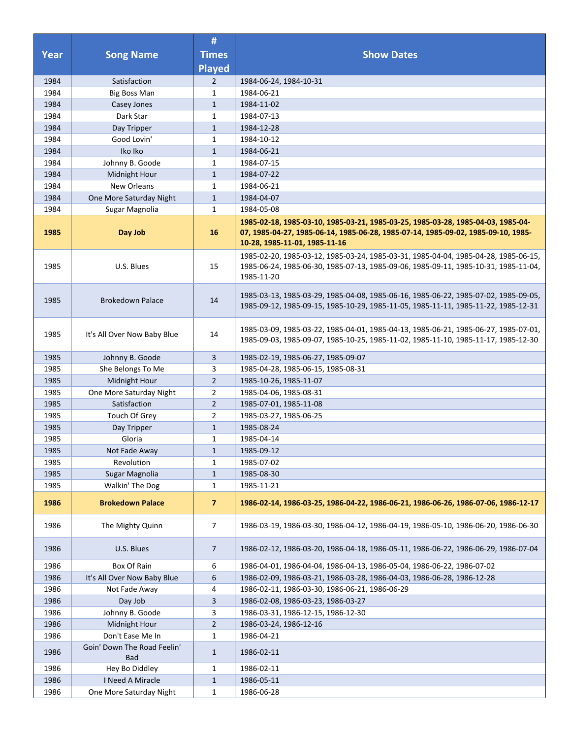|      |                                           | #                       |                                                                                                                                                                                                        |
|------|-------------------------------------------|-------------------------|--------------------------------------------------------------------------------------------------------------------------------------------------------------------------------------------------------|
| Year | <b>Song Name</b>                          | <b>Times</b>            | <b>Show Dates</b>                                                                                                                                                                                      |
|      |                                           | <b>Played</b>           |                                                                                                                                                                                                        |
| 1984 | Satisfaction                              | $\overline{2}$          | 1984-06-24, 1984-10-31                                                                                                                                                                                 |
| 1984 | <b>Big Boss Man</b>                       | 1                       | 1984-06-21                                                                                                                                                                                             |
| 1984 | Casey Jones                               | $\mathbf{1}$            | 1984-11-02                                                                                                                                                                                             |
| 1984 | Dark Star                                 | $\mathbf{1}$            | 1984-07-13                                                                                                                                                                                             |
| 1984 | Day Tripper                               | $\mathbf{1}$            | 1984-12-28                                                                                                                                                                                             |
| 1984 | Good Lovin'                               | 1                       | 1984-10-12                                                                                                                                                                                             |
| 1984 | Iko Iko                                   | $\mathbf{1}$            | 1984-06-21                                                                                                                                                                                             |
| 1984 | Johnny B. Goode                           | $\mathbf{1}$            | 1984-07-15                                                                                                                                                                                             |
| 1984 | Midnight Hour                             | $\mathbf{1}$            | 1984-07-22                                                                                                                                                                                             |
| 1984 | New Orleans                               | $\mathbf{1}$            | 1984-06-21                                                                                                                                                                                             |
| 1984 | One More Saturday Night                   | $\mathbf{1}$            | 1984-04-07                                                                                                                                                                                             |
| 1984 | Sugar Magnolia                            | 1                       | 1984-05-08                                                                                                                                                                                             |
| 1985 | Day Job                                   | 16                      | 1985-02-18, 1985-03-10, 1985-03-21, 1985-03-25, 1985-03-28, 1985-04-03, 1985-04-<br>07, 1985-04-27, 1985-06-14, 1985-06-28, 1985-07-14, 1985-09-02, 1985-09-10, 1985-<br>10-28, 1985-11-01, 1985-11-16 |
| 1985 | U.S. Blues                                | 15                      | 1985-02-20, 1985-03-12, 1985-03-24, 1985-03-31, 1985-04-04, 1985-04-28, 1985-06-15,<br>1985-06-24, 1985-06-30, 1985-07-13, 1985-09-06, 1985-09-11, 1985-10-31, 1985-11-04,<br>1985-11-20               |
| 1985 | <b>Brokedown Palace</b>                   | 14                      | 1985-03-13, 1985-03-29, 1985-04-08, 1985-06-16, 1985-06-22, 1985-07-02, 1985-09-05,<br>1985-09-12, 1985-09-15, 1985-10-29, 1985-11-05, 1985-11-11, 1985-11-22, 1985-12-31                              |
| 1985 | It's All Over Now Baby Blue               | 14                      | 1985-03-09, 1985-03-22, 1985-04-01, 1985-04-13, 1985-06-21, 1985-06-27, 1985-07-01,<br>1985-09-03, 1985-09-07, 1985-10-25, 1985-11-02, 1985-11-10, 1985-11-17, 1985-12-30                              |
| 1985 | Johnny B. Goode                           | 3                       | 1985-02-19, 1985-06-27, 1985-09-07                                                                                                                                                                     |
| 1985 | She Belongs To Me                         | 3                       | 1985-04-28, 1985-06-15, 1985-08-31                                                                                                                                                                     |
| 1985 | Midnight Hour                             | $\overline{2}$          | 1985-10-26, 1985-11-07                                                                                                                                                                                 |
| 1985 | One More Saturday Night                   | $\overline{2}$          | 1985-04-06, 1985-08-31                                                                                                                                                                                 |
| 1985 | Satisfaction                              | $\overline{2}$          | 1985-07-01, 1985-11-08                                                                                                                                                                                 |
| 1985 | Touch Of Grey                             | $\overline{2}$          | 1985-03-27, 1985-06-25                                                                                                                                                                                 |
| 1985 | Day Tripper                               | $\mathbf{1}$            | 1985-08-24                                                                                                                                                                                             |
| 1985 | Gloria                                    | 1                       | 1985-04-14                                                                                                                                                                                             |
| 1985 | Not Fade Away                             | $\mathbf{1}$            | 1985-09-12                                                                                                                                                                                             |
| 1985 | Revolution                                | $\mathbf{1}$            | 1985-07-02                                                                                                                                                                                             |
| 1985 | Sugar Magnolia                            | $\mathbf{1}$            | 1985-08-30                                                                                                                                                                                             |
| 1985 | Walkin' The Dog                           | 1                       | 1985-11-21                                                                                                                                                                                             |
| 1986 | <b>Brokedown Palace</b>                   | $\overline{\mathbf{z}}$ | 1986-02-14, 1986-03-25, 1986-04-22, 1986-06-21, 1986-06-26, 1986-07-06, 1986-12-17                                                                                                                     |
| 1986 | The Mighty Quinn                          | 7                       | 1986-03-19, 1986-03-30, 1986-04-12, 1986-04-19, 1986-05-10, 1986-06-20, 1986-06-30                                                                                                                     |
| 1986 | U.S. Blues                                | $\overline{7}$          | 1986-02-12, 1986-03-20, 1986-04-18, 1986-05-11, 1986-06-22, 1986-06-29, 1986-07-04                                                                                                                     |
| 1986 | Box Of Rain                               | 6                       | 1986-04-01, 1986-04-04, 1986-04-13, 1986-05-04, 1986-06-22, 1986-07-02                                                                                                                                 |
| 1986 | It's All Over Now Baby Blue               | 6                       | 1986-02-09, 1986-03-21, 1986-03-28, 1986-04-03, 1986-06-28, 1986-12-28                                                                                                                                 |
| 1986 | Not Fade Away                             | 4                       | 1986-02-11, 1986-03-30, 1986-06-21, 1986-06-29                                                                                                                                                         |
| 1986 | Day Job                                   | 3                       | 1986-02-08, 1986-03-23, 1986-03-27                                                                                                                                                                     |
| 1986 | Johnny B. Goode                           | 3                       | 1986-03-31, 1986-12-15, 1986-12-30                                                                                                                                                                     |
| 1986 | Midnight Hour                             | $\overline{2}$          | 1986-03-24, 1986-12-16                                                                                                                                                                                 |
| 1986 | Don't Ease Me In                          | $\mathbf{1}$            | 1986-04-21                                                                                                                                                                                             |
| 1986 | Goin' Down The Road Feelin'<br><b>Bad</b> | $\mathbf{1}$            | 1986-02-11                                                                                                                                                                                             |
| 1986 | Hey Bo Diddley                            | $\mathbf{1}$            | 1986-02-11                                                                                                                                                                                             |
| 1986 | I Need A Miracle                          | $\mathbf{1}$            | 1986-05-11                                                                                                                                                                                             |
| 1986 | One More Saturday Night                   | 1                       | 1986-06-28                                                                                                                                                                                             |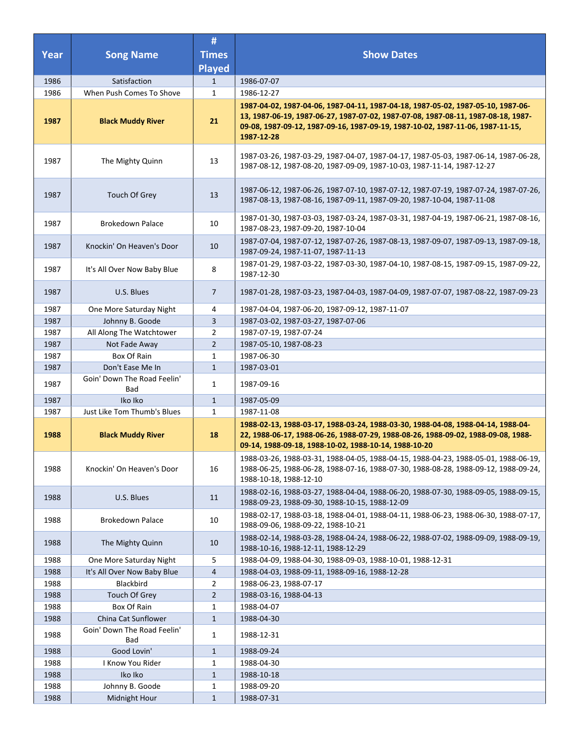| <b>Year</b> | <b>Song Name</b>                   | #<br><b>Times</b><br><b>Played</b> | <b>Show Dates</b>                                                                                                                                                                                                                                                     |
|-------------|------------------------------------|------------------------------------|-----------------------------------------------------------------------------------------------------------------------------------------------------------------------------------------------------------------------------------------------------------------------|
| 1986        | Satisfaction                       | $\mathbf{1}$                       | 1986-07-07                                                                                                                                                                                                                                                            |
| 1986        | When Push Comes To Shove           | 1                                  | 1986-12-27                                                                                                                                                                                                                                                            |
| 1987        | <b>Black Muddy River</b>           | 21                                 | 1987-04-02, 1987-04-06, 1987-04-11, 1987-04-18, 1987-05-02, 1987-05-10, 1987-06-<br>13, 1987-06-19, 1987-06-27, 1987-07-02, 1987-07-08, 1987-08-11, 1987-08-18, 1987-<br>09-08, 1987-09-12, 1987-09-16, 1987-09-19, 1987-10-02, 1987-11-06, 1987-11-15,<br>1987-12-28 |
| 1987        | The Mighty Quinn                   | 13                                 | 1987-03-26, 1987-03-29, 1987-04-07, 1987-04-17, 1987-05-03, 1987-06-14, 1987-06-28,<br>1987-08-12, 1987-08-20, 1987-09-09, 1987-10-03, 1987-11-14, 1987-12-27                                                                                                         |
| 1987        | Touch Of Grey                      | 13                                 | 1987-06-12, 1987-06-26, 1987-07-10, 1987-07-12, 1987-07-19, 1987-07-24, 1987-07-26,<br>1987-08-13, 1987-08-16, 1987-09-11, 1987-09-20, 1987-10-04, 1987-11-08                                                                                                         |
| 1987        | <b>Brokedown Palace</b>            | 10                                 | 1987-01-30, 1987-03-03, 1987-03-24, 1987-03-31, 1987-04-19, 1987-06-21, 1987-08-16,<br>1987-08-23, 1987-09-20, 1987-10-04                                                                                                                                             |
| 1987        | Knockin' On Heaven's Door          | 10                                 | 1987-07-04, 1987-07-12, 1987-07-26, 1987-08-13, 1987-09-07, 1987-09-13, 1987-09-18,<br>1987-09-24, 1987-11-07, 1987-11-13                                                                                                                                             |
| 1987        | It's All Over Now Baby Blue        | 8                                  | 1987-01-29, 1987-03-22, 1987-03-30, 1987-04-10, 1987-08-15, 1987-09-15, 1987-09-22,<br>1987-12-30                                                                                                                                                                     |
| 1987        | U.S. Blues                         | $\overline{7}$                     | 1987-01-28, 1987-03-23, 1987-04-03, 1987-04-09, 1987-07-07, 1987-08-22, 1987-09-23                                                                                                                                                                                    |
| 1987        | One More Saturday Night            | 4                                  | 1987-04-04, 1987-06-20, 1987-09-12, 1987-11-07                                                                                                                                                                                                                        |
| 1987        | Johnny B. Goode                    | $\overline{3}$                     | 1987-03-02, 1987-03-27, 1987-07-06                                                                                                                                                                                                                                    |
| 1987        | All Along The Watchtower           | $\overline{2}$                     | 1987-07-19, 1987-07-24                                                                                                                                                                                                                                                |
| 1987        | Not Fade Away                      | $\overline{2}$                     | 1987-05-10, 1987-08-23                                                                                                                                                                                                                                                |
| 1987        | Box Of Rain                        | $\mathbf{1}$                       | 1987-06-30                                                                                                                                                                                                                                                            |
| 1987        | Don't Ease Me In                   | $\mathbf{1}$                       | 1987-03-01                                                                                                                                                                                                                                                            |
| 1987        | Goin' Down The Road Feelin'<br>Bad | 1                                  | 1987-09-16                                                                                                                                                                                                                                                            |
| 1987        | Iko Iko                            | $\mathbf{1}$                       | 1987-05-09                                                                                                                                                                                                                                                            |
| 1987        | Just Like Tom Thumb's Blues        | $\mathbf{1}$                       | 1987-11-08                                                                                                                                                                                                                                                            |
| 1988        | <b>Black Muddy River</b>           | 18                                 | 1988-02-13, 1988-03-17, 1988-03-24, 1988-03-30, 1988-04-08, 1988-04-14, 1988-04-<br>22, 1988-06-17, 1988-06-26, 1988-07-29, 1988-08-26, 1988-09-02, 1988-09-08, 1988-<br>09-14, 1988-09-18, 1988-10-02, 1988-10-14, 1988-10-20                                        |
| 1988        | Knockin' On Heaven's Door          | 16                                 | 1988-03-26, 1988-03-31, 1988-04-05, 1988-04-15, 1988-04-23, 1988-05-01, 1988-06-19,<br>1988-06-25, 1988-06-28, 1988-07-16, 1988-07-30, 1988-08-28, 1988-09-12, 1988-09-24,<br>1988-10-18, 1988-12-10                                                                  |
| 1988        | U.S. Blues                         | 11                                 | 1988-02-16, 1988-03-27, 1988-04-04, 1988-06-20, 1988-07-30, 1988-09-05, 1988-09-15,<br>1988-09-23, 1988-09-30, 1988-10-15, 1988-12-09                                                                                                                                 |
| 1988        | <b>Brokedown Palace</b>            | 10                                 | 1988-02-17, 1988-03-18, 1988-04-01, 1988-04-11, 1988-06-23, 1988-06-30, 1988-07-17,<br>1988-09-06, 1988-09-22, 1988-10-21                                                                                                                                             |
| 1988        | The Mighty Quinn                   | 10                                 | 1988-02-14, 1988-03-28, 1988-04-24, 1988-06-22, 1988-07-02, 1988-09-09, 1988-09-19,<br>1988-10-16, 1988-12-11, 1988-12-29                                                                                                                                             |
| 1988        | One More Saturday Night            | 5                                  | 1988-04-09, 1988-04-30, 1988-09-03, 1988-10-01, 1988-12-31                                                                                                                                                                                                            |
| 1988        | It's All Over Now Baby Blue        | 4                                  | 1988-04-03, 1988-09-11, 1988-09-16, 1988-12-28                                                                                                                                                                                                                        |
| 1988        | Blackbird                          | $\overline{2}$                     | 1988-06-23, 1988-07-17                                                                                                                                                                                                                                                |
| 1988        | Touch Of Grey                      | $\overline{2}$                     | 1988-03-16, 1988-04-13                                                                                                                                                                                                                                                |
| 1988        | Box Of Rain                        | $\mathbf{1}$                       | 1988-04-07                                                                                                                                                                                                                                                            |
| 1988        | China Cat Sunflower                | $\mathbf{1}$                       | 1988-04-30                                                                                                                                                                                                                                                            |
| 1988        | Goin' Down The Road Feelin'<br>Bad | $\mathbf{1}$                       | 1988-12-31                                                                                                                                                                                                                                                            |
| 1988        | Good Lovin'                        | $\mathbf{1}$                       | 1988-09-24                                                                                                                                                                                                                                                            |
| 1988        | I Know You Rider                   | 1                                  | 1988-04-30                                                                                                                                                                                                                                                            |
| 1988        | Iko Iko                            | $\mathbf{1}$                       | 1988-10-18                                                                                                                                                                                                                                                            |
| 1988        | Johnny B. Goode                    | $\mathbf{1}$                       | 1988-09-20                                                                                                                                                                                                                                                            |
| 1988        | Midnight Hour                      | $\mathbf{1}$                       | 1988-07-31                                                                                                                                                                                                                                                            |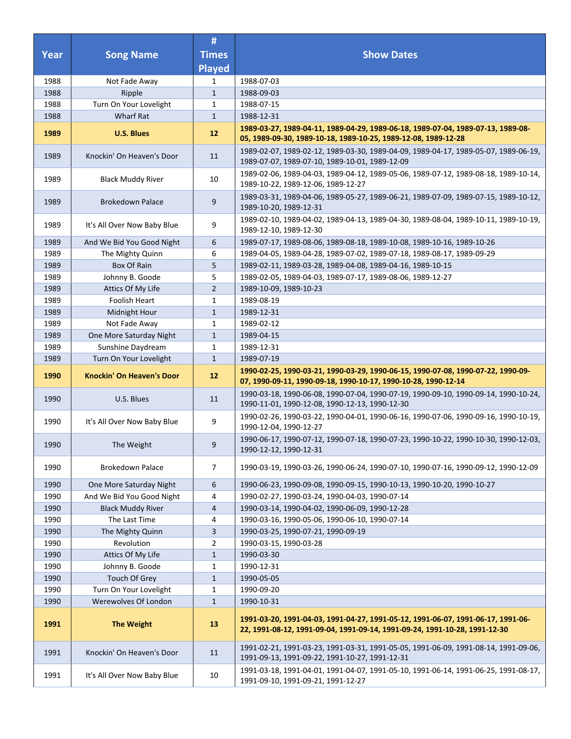|      |                                  | #              |                                                                                                                                                                |
|------|----------------------------------|----------------|----------------------------------------------------------------------------------------------------------------------------------------------------------------|
| Year | <b>Song Name</b>                 | <b>Times</b>   | <b>Show Dates</b>                                                                                                                                              |
|      |                                  | <b>Played</b>  |                                                                                                                                                                |
| 1988 | Not Fade Away                    | 1              | 1988-07-03                                                                                                                                                     |
| 1988 | Ripple                           | $\mathbf{1}$   | 1988-09-03                                                                                                                                                     |
| 1988 | Turn On Your Lovelight           | $\mathbf{1}$   | 1988-07-15                                                                                                                                                     |
| 1988 | <b>Wharf Rat</b>                 | $\mathbf{1}$   | 1988-12-31                                                                                                                                                     |
| 1989 | <b>U.S. Blues</b>                | 12             | 1989-03-27, 1989-04-11, 1989-04-29, 1989-06-18, 1989-07-04, 1989-07-13, 1989-08-<br>05, 1989-09-30, 1989-10-18, 1989-10-25, 1989-12-08, 1989-12-28             |
| 1989 | Knockin' On Heaven's Door        | 11             | 1989-02-07, 1989-02-12, 1989-03-30, 1989-04-09, 1989-04-17, 1989-05-07, 1989-06-19,<br>1989-07-07, 1989-07-10, 1989-10-01, 1989-12-09                          |
| 1989 | <b>Black Muddy River</b>         | 10             | 1989-02-06, 1989-04-03, 1989-04-12, 1989-05-06, 1989-07-12, 1989-08-18, 1989-10-14,<br>1989-10-22, 1989-12-06, 1989-12-27                                      |
| 1989 | <b>Brokedown Palace</b>          | 9              | 1989-03-31, 1989-04-06, 1989-05-27, 1989-06-21, 1989-07-09, 1989-07-15, 1989-10-12,<br>1989-10-20, 1989-12-31                                                  |
| 1989 | It's All Over Now Baby Blue      | 9              | 1989-02-10, 1989-04-02, 1989-04-13, 1989-04-30, 1989-08-04, 1989-10-11, 1989-10-19,<br>1989-12-10, 1989-12-30                                                  |
| 1989 | And We Bid You Good Night        | 6              | 1989-07-17, 1989-08-06, 1989-08-18, 1989-10-08, 1989-10-16, 1989-10-26                                                                                         |
| 1989 | The Mighty Quinn                 | 6              | 1989-04-05, 1989-04-28, 1989-07-02, 1989-07-18, 1989-08-17, 1989-09-29                                                                                         |
| 1989 | <b>Box Of Rain</b>               | 5              | 1989-02-11, 1989-03-28, 1989-04-08, 1989-04-16, 1989-10-15                                                                                                     |
| 1989 | Johnny B. Goode                  | 5              | 1989-02-05, 1989-04-03, 1989-07-17, 1989-08-06, 1989-12-27                                                                                                     |
| 1989 | Attics Of My Life                | $\overline{2}$ | 1989-10-09, 1989-10-23                                                                                                                                         |
| 1989 | Foolish Heart                    | $\mathbf{1}$   | 1989-08-19                                                                                                                                                     |
| 1989 | Midnight Hour                    | $\mathbf{1}$   | 1989-12-31                                                                                                                                                     |
| 1989 | Not Fade Away                    | 1              | 1989-02-12                                                                                                                                                     |
| 1989 | One More Saturday Night          | $\mathbf{1}$   | 1989-04-15                                                                                                                                                     |
| 1989 | Sunshine Daydream                | $\mathbf{1}$   | 1989-12-31                                                                                                                                                     |
| 1989 | Turn On Your Lovelight           | $\mathbf{1}$   | 1989-07-19                                                                                                                                                     |
| 1990 | <b>Knockin' On Heaven's Door</b> | 12             | 1990-02-25, 1990-03-21, 1990-03-29, 1990-06-15, 1990-07-08, 1990-07-22, 1990-09-<br>07, 1990-09-11, 1990-09-18, 1990-10-17, 1990-10-28, 1990-12-14             |
| 1990 | U.S. Blues                       | 11             | 1990-03-18, 1990-06-08, 1990-07-04, 1990-07-19, 1990-09-10, 1990-09-14, 1990-10-24,<br>1990-11-01, 1990-12-08, 1990-12-13, 1990-12-30                          |
| 1990 | It's All Over Now Baby Blue      | 9              | 1990-02-26, 1990-03-22, 1990-04-01, 1990-06-16, 1990-07-06, 1990-09-16, 1990-10-19,<br>1990-12-04, 1990-12-27                                                  |
| 1990 | The Weight                       | 9              | 1990-06-17, 1990-07-12, 1990-07-18, 1990-07-23, 1990-10-22, 1990-10-30, 1990-12-03,<br>1990-12-12, 1990-12-31                                                  |
| 1990 | <b>Brokedown Palace</b>          | 7              | 1990-03-19, 1990-03-26, 1990-06-24, 1990-07-10, 1990-07-16, 1990-09-12, 1990-12-09                                                                             |
| 1990 | One More Saturday Night          | 6              | 1990-06-23, 1990-09-08, 1990-09-15, 1990-10-13, 1990-10-20, 1990-10-27                                                                                         |
| 1990 | And We Bid You Good Night        | 4              | 1990-02-27, 1990-03-24, 1990-04-03, 1990-07-14                                                                                                                 |
| 1990 | <b>Black Muddy River</b>         | 4              | 1990-03-14, 1990-04-02, 1990-06-09, 1990-12-28                                                                                                                 |
| 1990 | The Last Time                    | 4              | 1990-03-16, 1990-05-06, 1990-06-10, 1990-07-14                                                                                                                 |
| 1990 | The Mighty Quinn                 | 3              | 1990-03-25, 1990-07-21, 1990-09-19                                                                                                                             |
| 1990 | Revolution                       | 2              | 1990-03-15, 1990-03-28                                                                                                                                         |
| 1990 | Attics Of My Life                | $\mathbf{1}$   | 1990-03-30                                                                                                                                                     |
| 1990 | Johnny B. Goode                  | $\mathbf{1}$   | 1990-12-31                                                                                                                                                     |
| 1990 | Touch Of Grey                    | $\mathbf{1}$   | 1990-05-05                                                                                                                                                     |
| 1990 | Turn On Your Lovelight           | $\mathbf{1}$   | 1990-09-20                                                                                                                                                     |
| 1990 | Werewolves Of London             | $\mathbf{1}$   | 1990-10-31                                                                                                                                                     |
| 1991 | <b>The Weight</b>                | 13             | 1991-03-20, 1991-04-03, 1991-04-27, 1991-05-12, 1991-06-07, 1991-06-17, 1991-06-<br>22, 1991-08-12, 1991-09-04, 1991-09-14, 1991-09-24, 1991-10-28, 1991-12-30 |
| 1991 | Knockin' On Heaven's Door        | 11             | 1991-02-21, 1991-03-23, 1991-03-31, 1991-05-05, 1991-06-09, 1991-08-14, 1991-09-06,<br>1991-09-13, 1991-09-22, 1991-10-27, 1991-12-31                          |
| 1991 | It's All Over Now Baby Blue      | 10             | 1991-03-18, 1991-04-01, 1991-04-07, 1991-05-10, 1991-06-14, 1991-06-25, 1991-08-17,<br>1991-09-10, 1991-09-21, 1991-12-27                                      |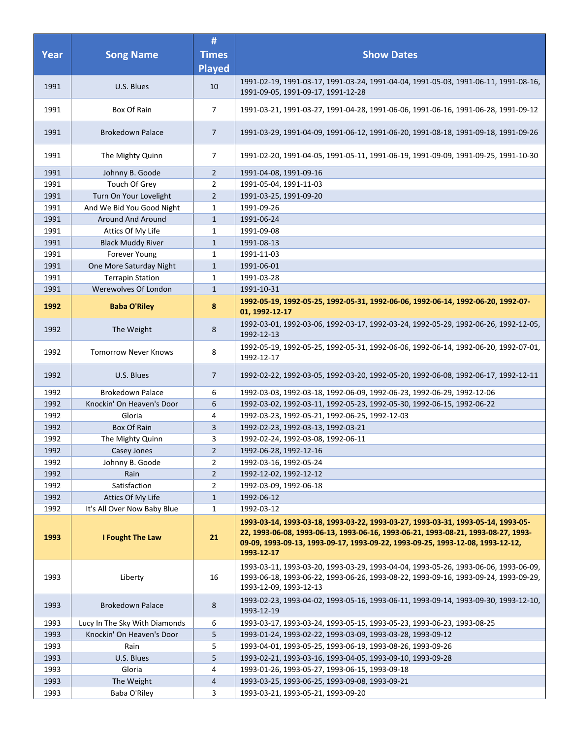| <b>Year</b> | <b>Song Name</b>              | #<br><b>Times</b><br><b>Played</b> | <b>Show Dates</b>                                                                                                                                                                                                                                                     |
|-------------|-------------------------------|------------------------------------|-----------------------------------------------------------------------------------------------------------------------------------------------------------------------------------------------------------------------------------------------------------------------|
| 1991        | U.S. Blues                    | 10                                 | 1991-02-19, 1991-03-17, 1991-03-24, 1991-04-04, 1991-05-03, 1991-06-11, 1991-08-16,<br>1991-09-05, 1991-09-17, 1991-12-28                                                                                                                                             |
| 1991        | Box Of Rain                   | 7                                  | 1991-03-21, 1991-03-27, 1991-04-28, 1991-06-06, 1991-06-16, 1991-06-28, 1991-09-12                                                                                                                                                                                    |
| 1991        | <b>Brokedown Palace</b>       | 7                                  | 1991-03-29, 1991-04-09, 1991-06-12, 1991-06-20, 1991-08-18, 1991-09-18, 1991-09-26                                                                                                                                                                                    |
| 1991        | The Mighty Quinn              | 7                                  | 1991-02-20, 1991-04-05, 1991-05-11, 1991-06-19, 1991-09-09, 1991-09-25, 1991-10-30                                                                                                                                                                                    |
| 1991        | Johnny B. Goode               | $\overline{2}$                     | 1991-04-08, 1991-09-16                                                                                                                                                                                                                                                |
| 1991        | Touch Of Grey                 | 2                                  | 1991-05-04, 1991-11-03                                                                                                                                                                                                                                                |
| 1991        | Turn On Your Lovelight        | $\overline{2}$                     | 1991-03-25, 1991-09-20                                                                                                                                                                                                                                                |
| 1991        | And We Bid You Good Night     | 1                                  | 1991-09-26                                                                                                                                                                                                                                                            |
| 1991        | Around And Around             | $\mathbf{1}$                       | 1991-06-24                                                                                                                                                                                                                                                            |
| 1991        | Attics Of My Life             | 1                                  | 1991-09-08                                                                                                                                                                                                                                                            |
| 1991        | <b>Black Muddy River</b>      | $\mathbf{1}$                       | 1991-08-13                                                                                                                                                                                                                                                            |
| 1991        | Forever Young                 | 1                                  | 1991-11-03                                                                                                                                                                                                                                                            |
| 1991        | One More Saturday Night       | $\mathbf{1}$                       | 1991-06-01                                                                                                                                                                                                                                                            |
| 1991        | <b>Terrapin Station</b>       | 1                                  | 1991-03-28                                                                                                                                                                                                                                                            |
| 1991        | Werewolves Of London          | $\mathbf{1}$                       | 1991-10-31                                                                                                                                                                                                                                                            |
| 1992        | <b>Baba O'Riley</b>           | 8                                  | 1992-05-19, 1992-05-25, 1992-05-31, 1992-06-06, 1992-06-14, 1992-06-20, 1992-07-<br>01, 1992-12-17                                                                                                                                                                    |
| 1992        | The Weight                    | 8                                  | 1992-03-01, 1992-03-06, 1992-03-17, 1992-03-24, 1992-05-29, 1992-06-26, 1992-12-05,<br>1992-12-13                                                                                                                                                                     |
| 1992        | <b>Tomorrow Never Knows</b>   | 8                                  | 1992-05-19, 1992-05-25, 1992-05-31, 1992-06-06, 1992-06-14, 1992-06-20, 1992-07-01,<br>1992-12-17                                                                                                                                                                     |
| 1992        | U.S. Blues                    | 7                                  | 1992-02-22, 1992-03-05, 1992-03-20, 1992-05-20, 1992-06-08, 1992-06-17, 1992-12-11                                                                                                                                                                                    |
| 1992        | <b>Brokedown Palace</b>       | 6                                  | 1992-03-03, 1992-03-18, 1992-06-09, 1992-06-23, 1992-06-29, 1992-12-06                                                                                                                                                                                                |
| 1992        | Knockin' On Heaven's Door     | 6                                  | 1992-03-02, 1992-03-11, 1992-05-23, 1992-05-30, 1992-06-15, 1992-06-22                                                                                                                                                                                                |
| 1992        | Gloria                        | 4                                  | 1992-03-23, 1992-05-21, 1992-06-25, 1992-12-03                                                                                                                                                                                                                        |
| 1992        | <b>Box Of Rain</b>            | 3                                  | 1992-02-23, 1992-03-13, 1992-03-21                                                                                                                                                                                                                                    |
| 1992        | The Mighty Quinn              | 3                                  | 1992-02-24, 1992-03-08, 1992-06-11                                                                                                                                                                                                                                    |
| 1992        | Casey Jones                   | $\mathbf 2$                        | 1992-06-28, 1992-12-16                                                                                                                                                                                                                                                |
| 1992        | Johnny B. Goode               | 2                                  | 1992-03-16, 1992-05-24                                                                                                                                                                                                                                                |
| 1992        | Rain                          | $\overline{2}$                     | 1992-12-02, 1992-12-12                                                                                                                                                                                                                                                |
| 1992        | Satisfaction                  | $\overline{2}$                     | 1992-03-09, 1992-06-18                                                                                                                                                                                                                                                |
| 1992        | Attics Of My Life             | $\mathbf{1}$                       | 1992-06-12                                                                                                                                                                                                                                                            |
| 1992        | It's All Over Now Baby Blue   | $\mathbf{1}$                       | 1992-03-12                                                                                                                                                                                                                                                            |
| 1993        | I Fought The Law              | 21                                 | 1993-03-14, 1993-03-18, 1993-03-22, 1993-03-27, 1993-03-31, 1993-05-14, 1993-05-<br>22, 1993-06-08, 1993-06-13, 1993-06-16, 1993-06-21, 1993-08-21, 1993-08-27, 1993-<br>09-09, 1993-09-13, 1993-09-17, 1993-09-22, 1993-09-25, 1993-12-08, 1993-12-12,<br>1993-12-17 |
| 1993        | Liberty                       | 16                                 | 1993-03-11, 1993-03-20, 1993-03-29, 1993-04-04, 1993-05-26, 1993-06-06, 1993-06-09,<br>1993-06-18, 1993-06-22, 1993-06-26, 1993-08-22, 1993-09-16, 1993-09-24, 1993-09-29,<br>1993-12-09, 1993-12-13                                                                  |
| 1993        | <b>Brokedown Palace</b>       | 8                                  | 1993-02-23, 1993-04-02, 1993-05-16, 1993-06-11, 1993-09-14, 1993-09-30, 1993-12-10,<br>1993-12-19                                                                                                                                                                     |
| 1993        | Lucy In The Sky With Diamonds | 6                                  | 1993-03-17, 1993-03-24, 1993-05-15, 1993-05-23, 1993-06-23, 1993-08-25                                                                                                                                                                                                |
| 1993        | Knockin' On Heaven's Door     | 5                                  | 1993-01-24, 1993-02-22, 1993-03-09, 1993-03-28, 1993-09-12                                                                                                                                                                                                            |
| 1993        | Rain                          | 5                                  | 1993-04-01, 1993-05-25, 1993-06-19, 1993-08-26, 1993-09-26                                                                                                                                                                                                            |
| 1993        | U.S. Blues                    | 5                                  | 1993-02-21, 1993-03-16, 1993-04-05, 1993-09-10, 1993-09-28                                                                                                                                                                                                            |
| 1993        | Gloria                        | 4                                  | 1993-01-26, 1993-05-27, 1993-06-15, 1993-09-18                                                                                                                                                                                                                        |
| 1993        | The Weight                    | $\overline{a}$                     | 1993-03-25, 1993-06-25, 1993-09-08, 1993-09-21                                                                                                                                                                                                                        |
| 1993        | Baba O'Riley                  | 3                                  | 1993-03-21, 1993-05-21, 1993-09-20                                                                                                                                                                                                                                    |